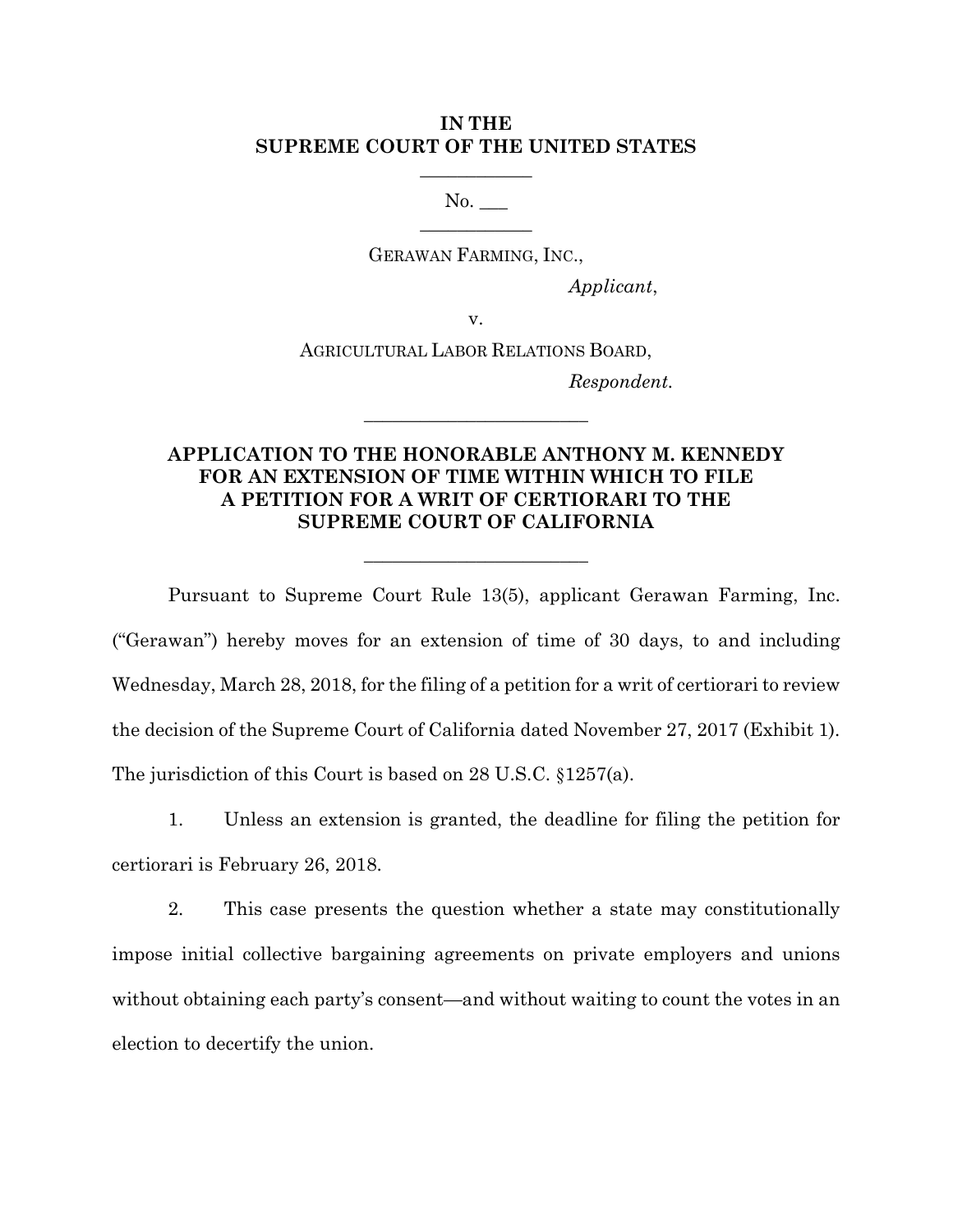## **IN THE SUPREME COURT OF THE UNITED STATES**

 $\overline{\phantom{a}}$  , where  $\overline{\phantom{a}}$ 

No. \_\_\_  $\overline{\phantom{a}}$  , where  $\overline{\phantom{a}}$ 

GERAWAN FARMING, INC.,

*Applicant*,

v.

AGRICULTURAL LABOR RELATIONS BOARD,

**\_\_\_\_\_\_\_\_\_\_\_\_\_\_\_\_\_\_\_\_\_\_\_\_** 

*Respondent.* 

## **APPLICATION TO THE HONORABLE ANTHONY M. KENNEDY FOR AN EXTENSION OF TIME WITHIN WHICH TO FILE A PETITION FOR A WRIT OF CERTIORARI TO THE SUPREME COURT OF CALIFORNIA**

 $\overline{\phantom{a}}$  , where  $\overline{\phantom{a}}$ 

Pursuant to Supreme Court Rule 13(5), applicant Gerawan Farming, Inc. ("Gerawan") hereby moves for an extension of time of 30 days, to and including Wednesday, March 28, 2018, for the filing of a petition for a writ of certiorari to review the decision of the Supreme Court of California dated November 27, 2017 (Exhibit 1). The jurisdiction of this Court is based on 28 U.S.C. §1257(a).

1. Unless an extension is granted, the deadline for filing the petition for certiorari is February 26, 2018.

2. This case presents the question whether a state may constitutionally impose initial collective bargaining agreements on private employers and unions without obtaining each party's consent—and without waiting to count the votes in an election to decertify the union.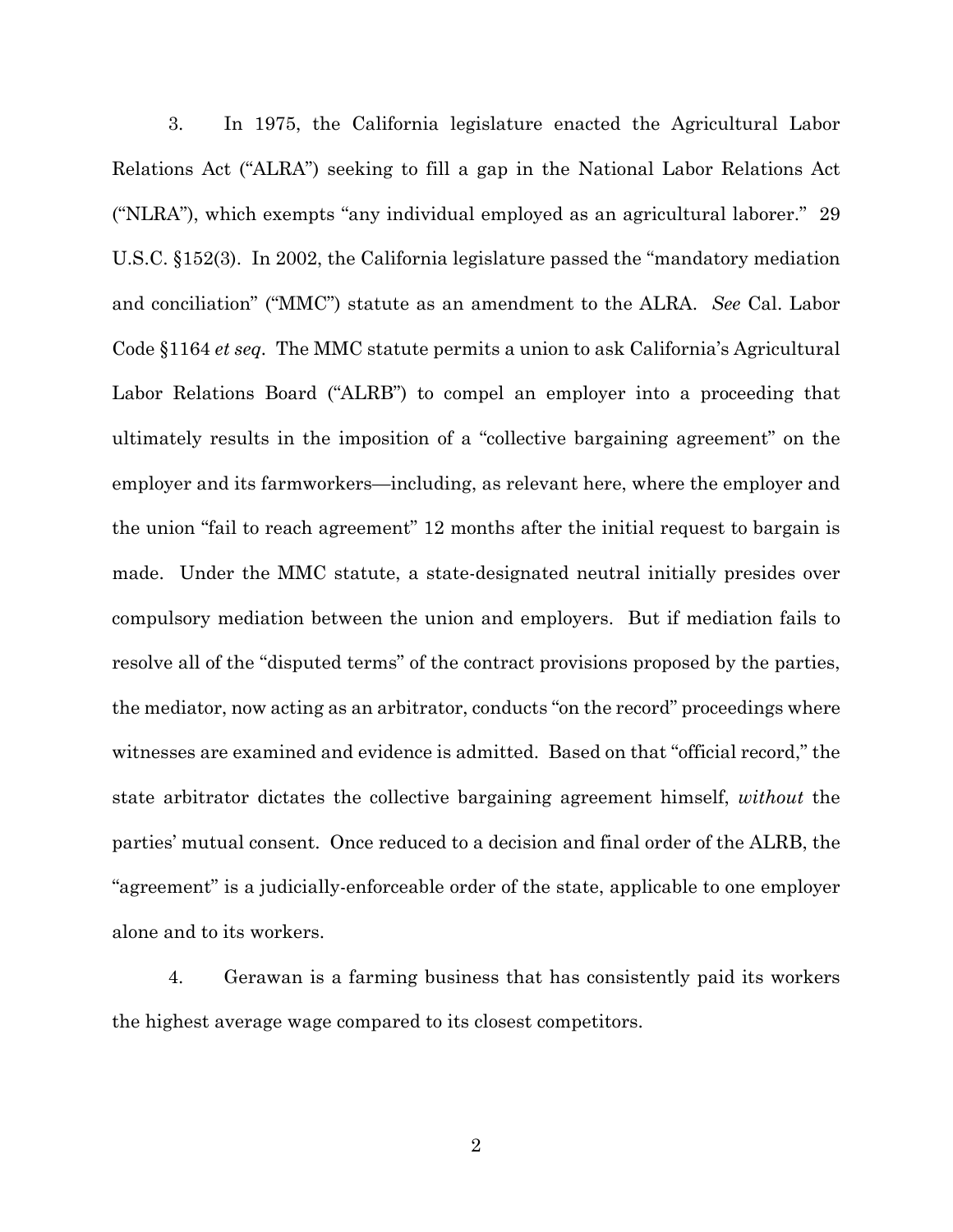3. In 1975, the California legislature enacted the Agricultural Labor Relations Act ("ALRA") seeking to fill a gap in the National Labor Relations Act ("NLRA"), which exempts "any individual employed as an agricultural laborer." 29 U.S.C. §152(3). In 2002, the California legislature passed the "mandatory mediation and conciliation" ("MMC") statute as an amendment to the ALRA. *See* Cal. Labor Code §1164 *et seq.* The MMC statute permits a union to ask California's Agricultural Labor Relations Board ("ALRB") to compel an employer into a proceeding that ultimately results in the imposition of a "collective bargaining agreement" on the employer and its farmworkers—including, as relevant here, where the employer and the union "fail to reach agreement" 12 months after the initial request to bargain is made. Under the MMC statute, a state-designated neutral initially presides over compulsory mediation between the union and employers. But if mediation fails to resolve all of the "disputed terms" of the contract provisions proposed by the parties, the mediator, now acting as an arbitrator, conducts "on the record" proceedings where witnesses are examined and evidence is admitted. Based on that "official record," the state arbitrator dictates the collective bargaining agreement himself, *without* the parties' mutual consent. Once reduced to a decision and final order of the ALRB, the "agreement" is a judicially-enforceable order of the state, applicable to one employer alone and to its workers.

4. Gerawan is a farming business that has consistently paid its workers the highest average wage compared to its closest competitors.

2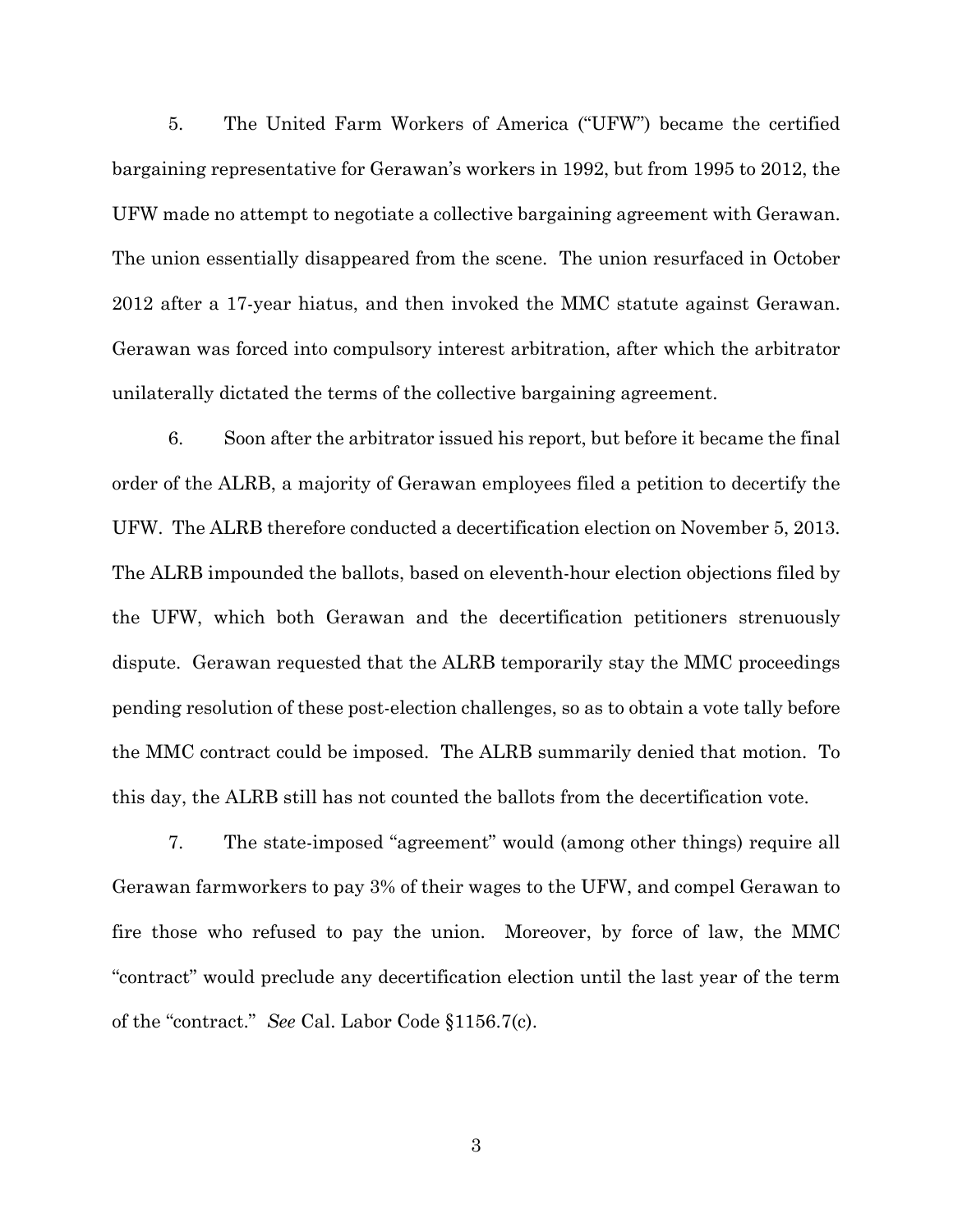5. The United Farm Workers of America ("UFW") became the certified bargaining representative for Gerawan's workers in 1992, but from 1995 to 2012, the UFW made no attempt to negotiate a collective bargaining agreement with Gerawan. The union essentially disappeared from the scene. The union resurfaced in October 2012 after a 17-year hiatus, and then invoked the MMC statute against Gerawan. Gerawan was forced into compulsory interest arbitration, after which the arbitrator unilaterally dictated the terms of the collective bargaining agreement.

6. Soon after the arbitrator issued his report, but before it became the final order of the ALRB, a majority of Gerawan employees filed a petition to decertify the UFW. The ALRB therefore conducted a decertification election on November 5, 2013. The ALRB impounded the ballots, based on eleventh-hour election objections filed by the UFW, which both Gerawan and the decertification petitioners strenuously dispute. Gerawan requested that the ALRB temporarily stay the MMC proceedings pending resolution of these post-election challenges, so as to obtain a vote tally before the MMC contract could be imposed. The ALRB summarily denied that motion. To this day, the ALRB still has not counted the ballots from the decertification vote.

7. The state-imposed "agreement" would (among other things) require all Gerawan farmworkers to pay 3% of their wages to the UFW, and compel Gerawan to fire those who refused to pay the union. Moreover, by force of law, the MMC "contract" would preclude any decertification election until the last year of the term of the "contract." *See* Cal. Labor Code §1156.7(c).

3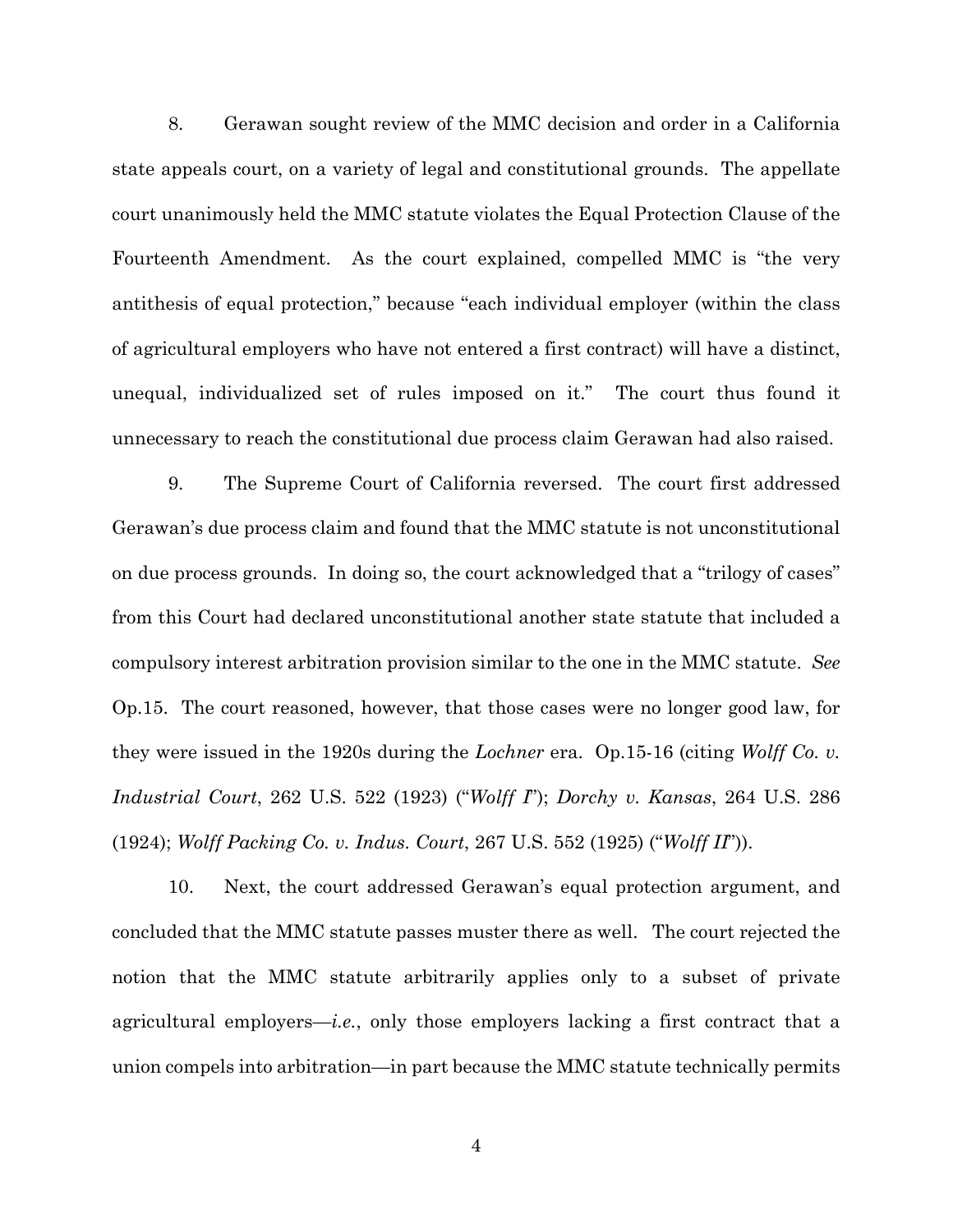8. Gerawan sought review of the MMC decision and order in a California state appeals court, on a variety of legal and constitutional grounds. The appellate court unanimously held the MMC statute violates the Equal Protection Clause of the Fourteenth Amendment. As the court explained, compelled MMC is "the very antithesis of equal protection," because "each individual employer (within the class of agricultural employers who have not entered a first contract) will have a distinct, unequal, individualized set of rules imposed on it." The court thus found it unnecessary to reach the constitutional due process claim Gerawan had also raised.

9. The Supreme Court of California reversed. The court first addressed Gerawan's due process claim and found that the MMC statute is not unconstitutional on due process grounds. In doing so, the court acknowledged that a "trilogy of cases" from this Court had declared unconstitutional another state statute that included a compulsory interest arbitration provision similar to the one in the MMC statute. *See*  Op.15. The court reasoned, however, that those cases were no longer good law, for they were issued in the 1920s during the *Lochner* era. Op.15-16 (citing *Wolff Co. v. Industrial Court*, 262 U.S. 522 (1923) ("*Wolff I*"); *Dorchy v. Kansas*, 264 U.S. 286 (1924); *Wolff Packing Co. v. Indus. Court*, 267 U.S. 552 (1925) ("*Wolff II*")).

10. Next, the court addressed Gerawan's equal protection argument, and concluded that the MMC statute passes muster there as well. The court rejected the notion that the MMC statute arbitrarily applies only to a subset of private agricultural employers—*i.e.*, only those employers lacking a first contract that a union compels into arbitration—in part because the MMC statute technically permits

4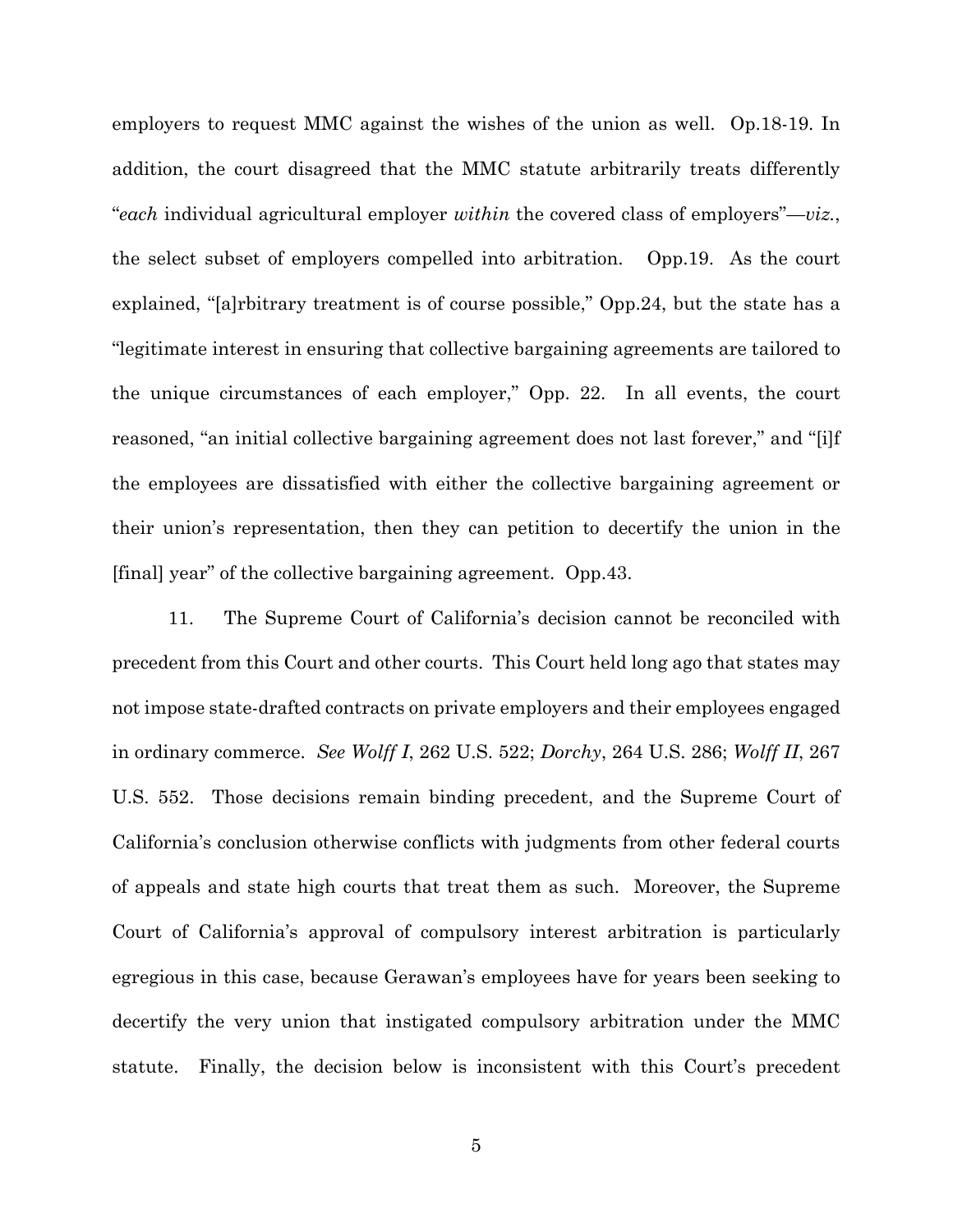employers to request MMC against the wishes of the union as well. Op.18-19. In addition, the court disagreed that the MMC statute arbitrarily treats differently "*each* individual agricultural employer *within* the covered class of employers"—*viz.*, the select subset of employers compelled into arbitration. Opp.19. As the court explained, "[a]rbitrary treatment is of course possible," Opp.24, but the state has a "legitimate interest in ensuring that collective bargaining agreements are tailored to the unique circumstances of each employer," Opp. 22. In all events, the court reasoned, "an initial collective bargaining agreement does not last forever," and "[i]f the employees are dissatisfied with either the collective bargaining agreement or their union's representation, then they can petition to decertify the union in the [final] year" of the collective bargaining agreement. Opp.43.

11. The Supreme Court of California's decision cannot be reconciled with precedent from this Court and other courts. This Court held long ago that states may not impose state-drafted contracts on private employers and their employees engaged in ordinary commerce. *See Wolff I*, 262 U.S. 522; *Dorchy*, 264 U.S. 286; *Wolff II*, 267 U.S. 552. Those decisions remain binding precedent, and the Supreme Court of California's conclusion otherwise conflicts with judgments from other federal courts of appeals and state high courts that treat them as such. Moreover, the Supreme Court of California's approval of compulsory interest arbitration is particularly egregious in this case, because Gerawan's employees have for years been seeking to decertify the very union that instigated compulsory arbitration under the MMC statute. Finally, the decision below is inconsistent with this Court's precedent